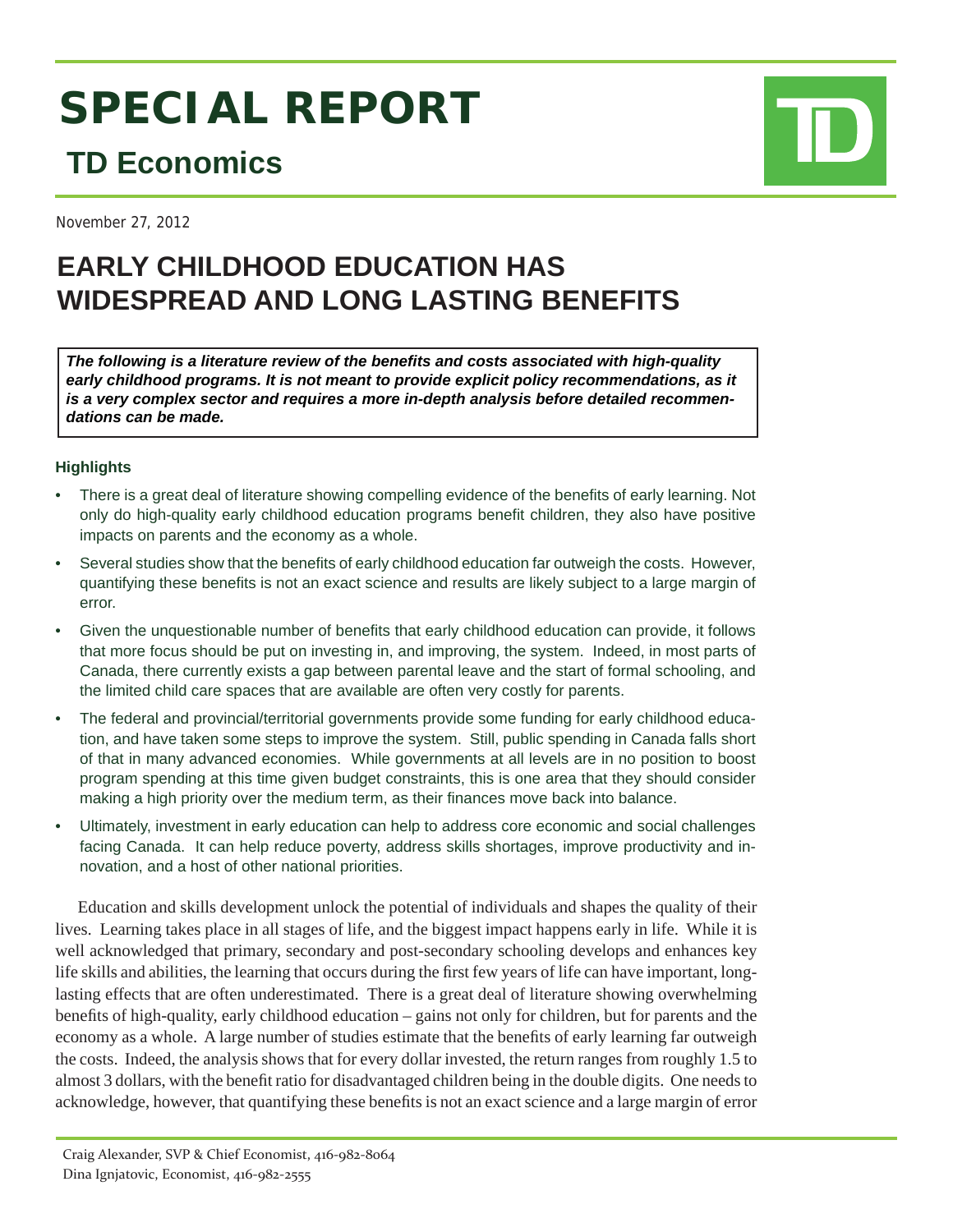# **SPECIAL REPORT**

# **TD Economics**

November 27, 2012

## **EARLY CHILDHOOD EDUCATION HAS WIDESPREAD AND LONG LASTING BENEFITS**

*The following is a literature review of the benefi ts and costs associated with high-quality*  early childhood programs. It is not meant to provide explicit policy recommendations, as it *is a very complex sector and requires a more in-depth analysis before detailed recommendations can be made.*

### **Highlights**

- There is a great deal of literature showing compelling evidence of the benefits of early learning. Not only do high-quality early childhood education programs benefit children, they also have positive impacts on parents and the economy as a whole.
- Several studies show that the benefits of early childhood education far outweigh the costs. However, quantifying these benefits is not an exact science and results are likely subject to a large margin of error.
- Given the unquestionable number of benefits that early childhood education can provide, it follows that more focus should be put on investing in, and improving, the system. Indeed, in most parts of Canada, there currently exists a gap between parental leave and the start of formal schooling, and the limited child care spaces that are available are often very costly for parents.
- The federal and provincial/territorial governments provide some funding for early childhood education, and have taken some steps to improve the system. Still, public spending in Canada falls short of that in many advanced economies. While governments at all levels are in no position to boost program spending at this time given budget constraints, this is one area that they should consider making a high priority over the medium term, as their finances move back into balance.
- Ultimately, investment in early education can help to address core economic and social challenges facing Canada. It can help reduce poverty, address skills shortages, improve productivity and innovation, and a host of other national priorities.

Education and skills development unlock the potential of individuals and shapes the quality of their lives. Learning takes place in all stages of life, and the biggest impact happens early in life. While it is well acknowledged that primary, secondary and post-secondary schooling develops and enhances key life skills and abilities, the learning that occurs during the first few years of life can have important, longlasting effects that are often underestimated. There is a great deal of literature showing overwhelming benefits of high-quality, early childhood education – gains not only for children, but for parents and the economy as a whole. A large number of studies estimate that the benefits of early learning far outweigh the costs. Indeed, the analysis shows that for every dollar invested, the return ranges from roughly 1.5 to almost 3 dollars, with the benefit ratio for disadvantaged children being in the double digits. One needs to acknowledge, however, that quantifying these benefits is not an exact science and a large margin of error

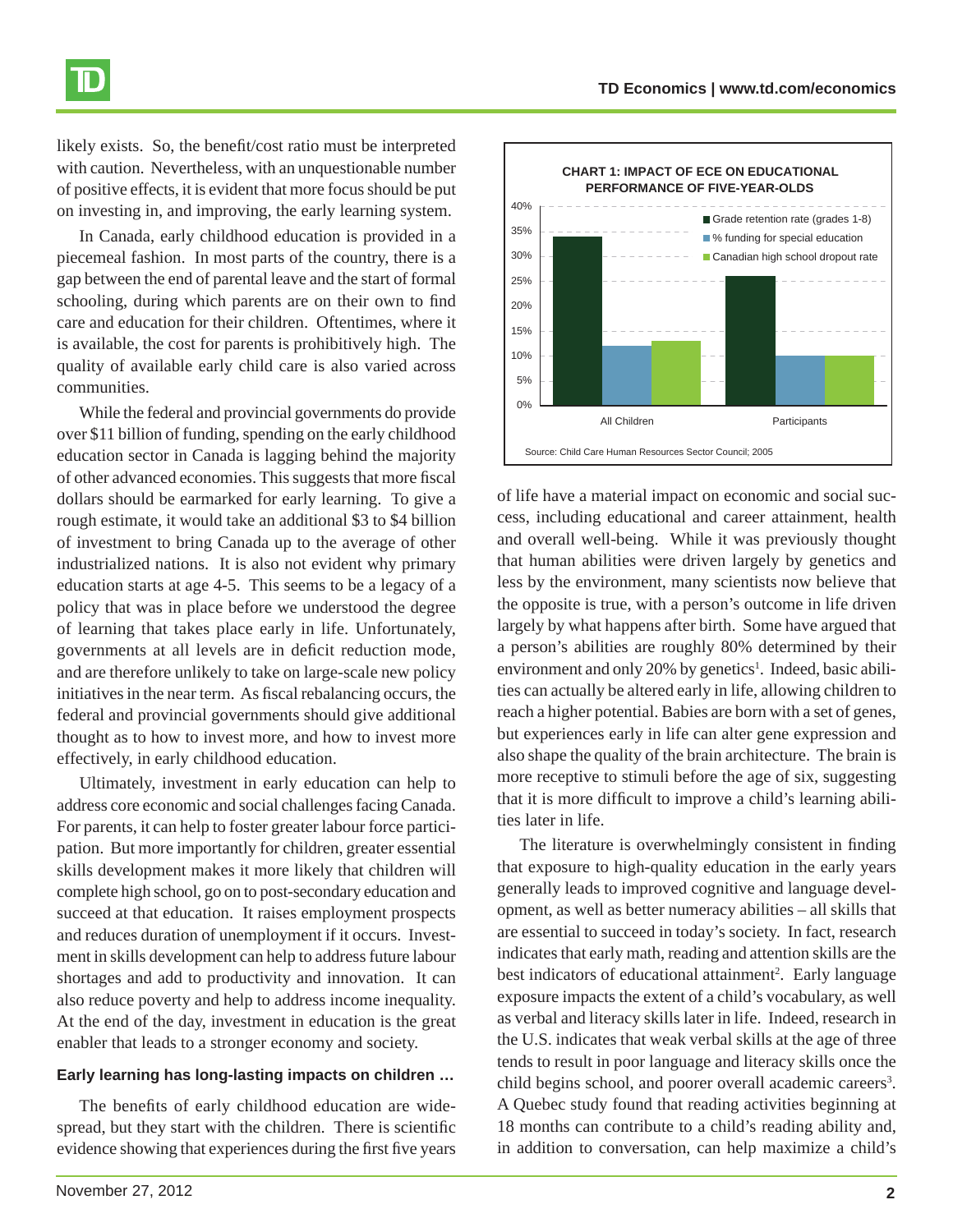likely exists. So, the benefit/cost ratio must be interpreted with caution. Nevertheless, with an unquestionable number of positive effects, it is evident that more focus should be put on investing in, and improving, the early learning system.

In Canada, early childhood education is provided in a piecemeal fashion. In most parts of the country, there is a gap between the end of parental leave and the start of formal schooling, during which parents are on their own to find care and education for their children. Oftentimes, where it is available, the cost for parents is prohibitively high. The quality of available early child care is also varied across communities.

While the federal and provincial governments do provide over \$11 billion of funding, spending on the early childhood education sector in Canada is lagging behind the majority of other advanced economies. This suggests that more fiscal dollars should be earmarked for early learning. To give a rough estimate, it would take an additional \$3 to \$4 billion of investment to bring Canada up to the average of other industrialized nations. It is also not evident why primary education starts at age 4-5. This seems to be a legacy of a policy that was in place before we understood the degree of learning that takes place early in life. Unfortunately, governments at all levels are in deficit reduction mode, and are therefore unlikely to take on large-scale new policy initiatives in the near term. As fiscal rebalancing occurs, the federal and provincial governments should give additional thought as to how to invest more, and how to invest more effectively, in early childhood education.

Ultimately, investment in early education can help to address core economic and social challenges facing Canada. For parents, it can help to foster greater labour force participation. But more importantly for children, greater essential skills development makes it more likely that children will complete high school, go on to post-secondary education and succeed at that education. It raises employment prospects and reduces duration of unemployment if it occurs. Investment in skills development can help to address future labour shortages and add to productivity and innovation. It can also reduce poverty and help to address income inequality. At the end of the day, investment in education is the great enabler that leads to a stronger economy and society.

### **Early learning has long-lasting impacts on children …**

The benefits of early childhood education are widespread, but they start with the children. There is scientific evidence showing that experiences during the first five years of life have a material impact on economic and social success, including educational and career attainment, health and overall well-being. While it was previously thought that human abilities were driven largely by genetics and less by the environment, many scientists now believe that the opposite is true, with a person's outcome in life driven largely by what happens after birth. Some have argued that a person's abilities are roughly 80% determined by their environment and only 20% by genetics<sup>1</sup>. Indeed, basic abilities can actually be altered early in life, allowing children to reach a higher potential. Babies are born with a set of genes, but experiences early in life can alter gene expression and also shape the quality of the brain architecture. The brain is more receptive to stimuli before the age of six, suggesting that it is more difficult to improve a child's learning abilities later in life.

The literature is overwhelmingly consistent in finding that exposure to high-quality education in the early years generally leads to improved cognitive and language development, as well as better numeracy abilities – all skills that are essential to succeed in today's society. In fact, research indicates that early math, reading and attention skills are the best indicators of educational attainment<sup>2</sup>. Early language exposure impacts the extent of a child's vocabulary, as well as verbal and literacy skills later in life. Indeed, research in the U.S. indicates that weak verbal skills at the age of three tends to result in poor language and literacy skills once the child begins school, and poorer overall academic careers<sup>3</sup>. A Quebec study found that reading activities beginning at 18 months can contribute to a child's reading ability and, in addition to conversation, can help maximize a child's



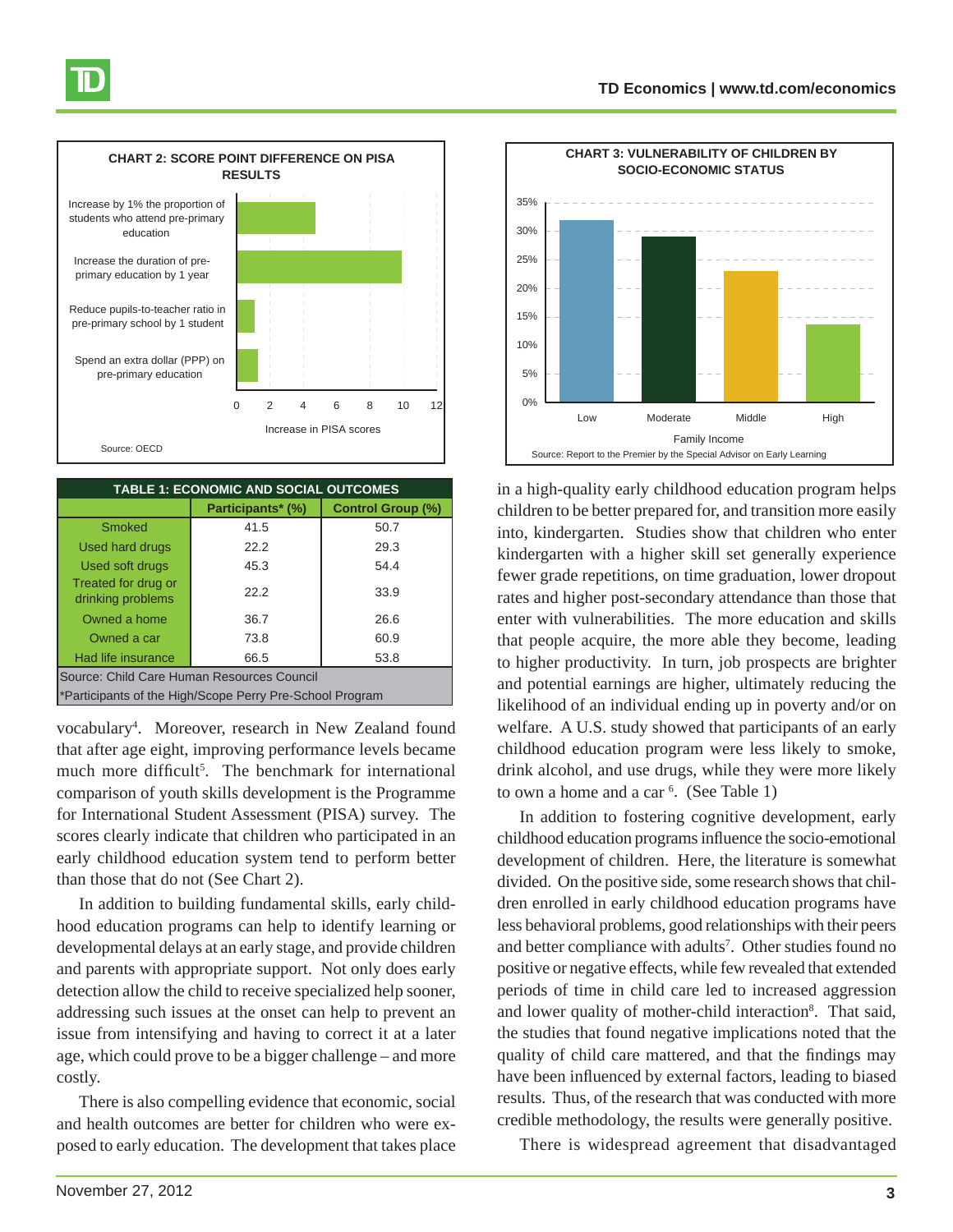



| <b>TABLE 1: ECONOMIC AND SOCIAL OUTCOMES</b>             |                   |                          |
|----------------------------------------------------------|-------------------|--------------------------|
|                                                          | Participants* (%) | <b>Control Group (%)</b> |
| <b>Smoked</b>                                            | 41.5              | 50.7                     |
| <b>Used hard drugs</b>                                   | 22.2              | 29.3                     |
| Used soft drugs                                          | 45.3              | 54.4                     |
| Treated for drug or<br>drinking problems                 | 22.2              | 33.9                     |
| Owned a home                                             | 36.7              | 26.6                     |
| Owned a car                                              | 73.8              | 60.9                     |
| Had life insurance                                       | 66.5              | 53.8                     |
| Source: Child Care Human Resources Council               |                   |                          |
| *Participants of the High/Scope Perry Pre-School Program |                   |                          |

vocabulary4 . Moreover, research in New Zealand found that after age eight, improving performance levels became much more difficult<sup>5</sup>. The benchmark for international comparison of youth skills development is the Programme for International Student Assessment (PISA) survey. The scores clearly indicate that children who participated in an early childhood education system tend to perform better than those that do not (See Chart 2).

In addition to building fundamental skills, early childhood education programs can help to identify learning or developmental delays at an early stage, and provide children and parents with appropriate support. Not only does early detection allow the child to receive specialized help sooner, addressing such issues at the onset can help to prevent an issue from intensifying and having to correct it at a later age, which could prove to be a bigger challenge – and more costly.

There is also compelling evidence that economic, social and health outcomes are better for children who were exposed to early education. The development that takes place



in a high-quality early childhood education program helps children to be better prepared for, and transition more easily into, kindergarten. Studies show that children who enter kindergarten with a higher skill set generally experience fewer grade repetitions, on time graduation, lower dropout rates and higher post-secondary attendance than those that enter with vulnerabilities. The more education and skills that people acquire, the more able they become, leading to higher productivity. In turn, job prospects are brighter and potential earnings are higher, ultimately reducing the likelihood of an individual ending up in poverty and/or on welfare. A U.S. study showed that participants of an early childhood education program were less likely to smoke, drink alcohol, and use drugs, while they were more likely to own a home and a car 6 . (See Table 1)

In addition to fostering cognitive development, early childhood education programs influence the socio-emotional development of children. Here, the literature is somewhat divided. On the positive side, some research shows that children enrolled in early childhood education programs have less behavioral problems, good relationships with their peers and better compliance with adults<sup>7</sup>. Other studies found no positive or negative effects, while few revealed that extended periods of time in child care led to increased aggression and lower quality of mother-child interaction<sup>8</sup>. That said, the studies that found negative implications noted that the quality of child care mattered, and that the findings may have been influenced by external factors, leading to biased results. Thus, of the research that was conducted with more credible methodology, the results were generally positive.

There is widespread agreement that disadvantaged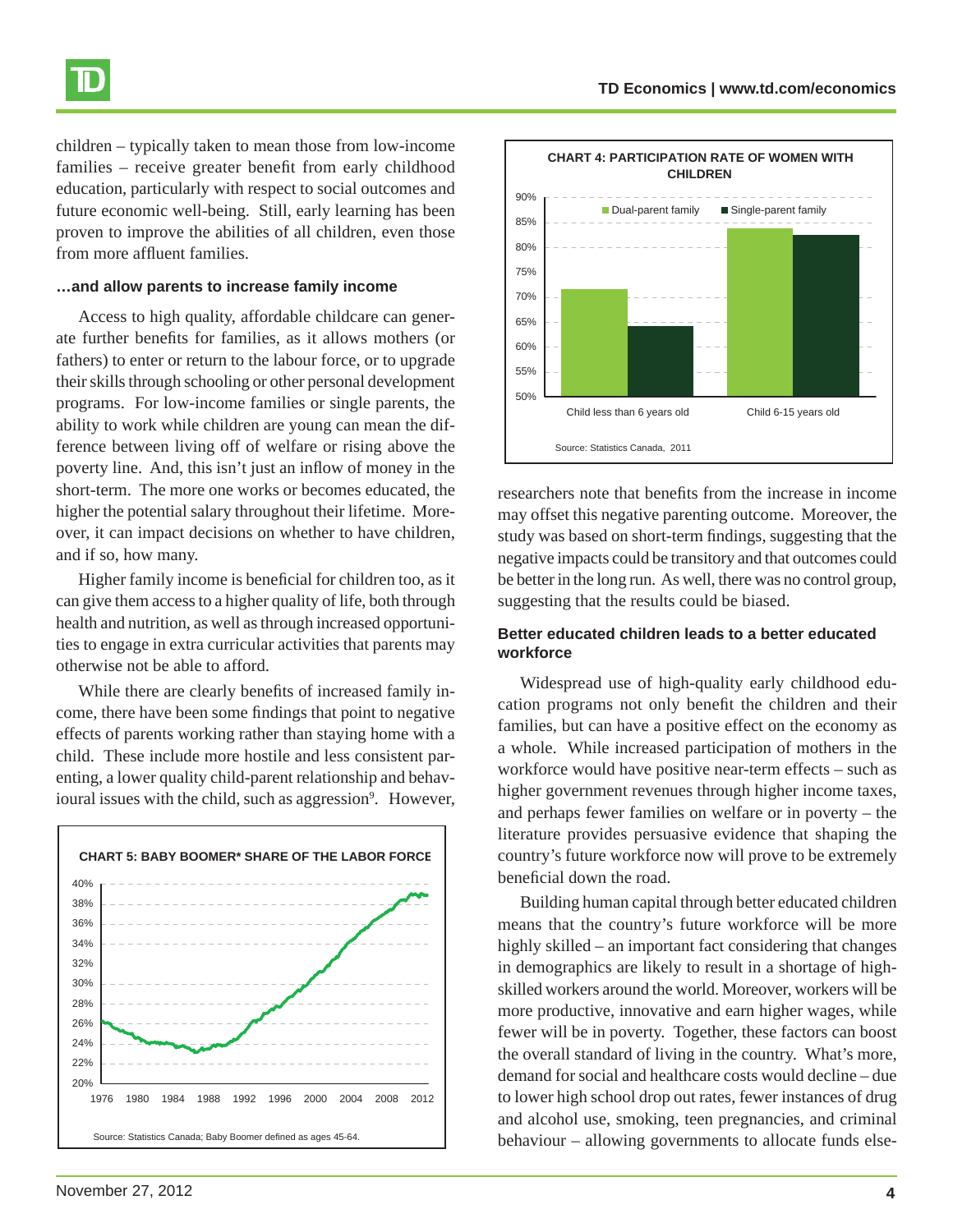

children – typically taken to mean those from low-income families – receive greater benefit from early childhood education, particularly with respect to social outcomes and future economic well-being. Still, early learning has been proven to improve the abilities of all children, even those from more affluent families.

#### **…and allow parents to increase family income**

Access to high quality, affordable childcare can generate further benefits for families, as it allows mothers (or fathers) to enter or return to the labour force, or to upgrade their skills through schooling or other personal development programs. For low-income families or single parents, the ability to work while children are young can mean the difference between living off of welfare or rising above the poverty line. And, this isn't just an inflow of money in the short-term. The more one works or becomes educated, the higher the potential salary throughout their lifetime. Moreover, it can impact decisions on whether to have children, and if so, how many.

Higher family income is beneficial for children too, as it can give them access to a higher quality of life, both through health and nutrition, as well as through increased opportunities to engage in extra curricular activities that parents may otherwise not be able to afford.

While there are clearly benefits of increased family income, there have been some findings that point to negative effects of parents working rather than staying home with a child. These include more hostile and less consistent parenting, a lower quality child-parent relationship and behavioural issues with the child, such as aggression<sup>9</sup>. However,





researchers note that benefits from the increase in income may offset this negative parenting outcome. Moreover, the study was based on short-term findings, suggesting that the negative impacts could be transitory and that outcomes could be better in the long run. As well, there was no control group, suggesting that the results could be biased.

#### **Better educated children leads to a better educated workforce**

Widespread use of high-quality early childhood education programs not only benefit the children and their families, but can have a positive effect on the economy as a whole. While increased participation of mothers in the workforce would have positive near-term effects – such as higher government revenues through higher income taxes, and perhaps fewer families on welfare or in poverty – the literature provides persuasive evidence that shaping the country's future workforce now will prove to be extremely beneficial down the road.

Building human capital through better educated children means that the country's future workforce will be more highly skilled – an important fact considering that changes in demographics are likely to result in a shortage of highskilled workers around the world. Moreover, workers will be more productive, innovative and earn higher wages, while fewer will be in poverty. Together, these factors can boost the overall standard of living in the country. What's more, demand for social and healthcare costs would decline – due to lower high school drop out rates, fewer instances of drug and alcohol use, smoking, teen pregnancies, and criminal behaviour – allowing governments to allocate funds else-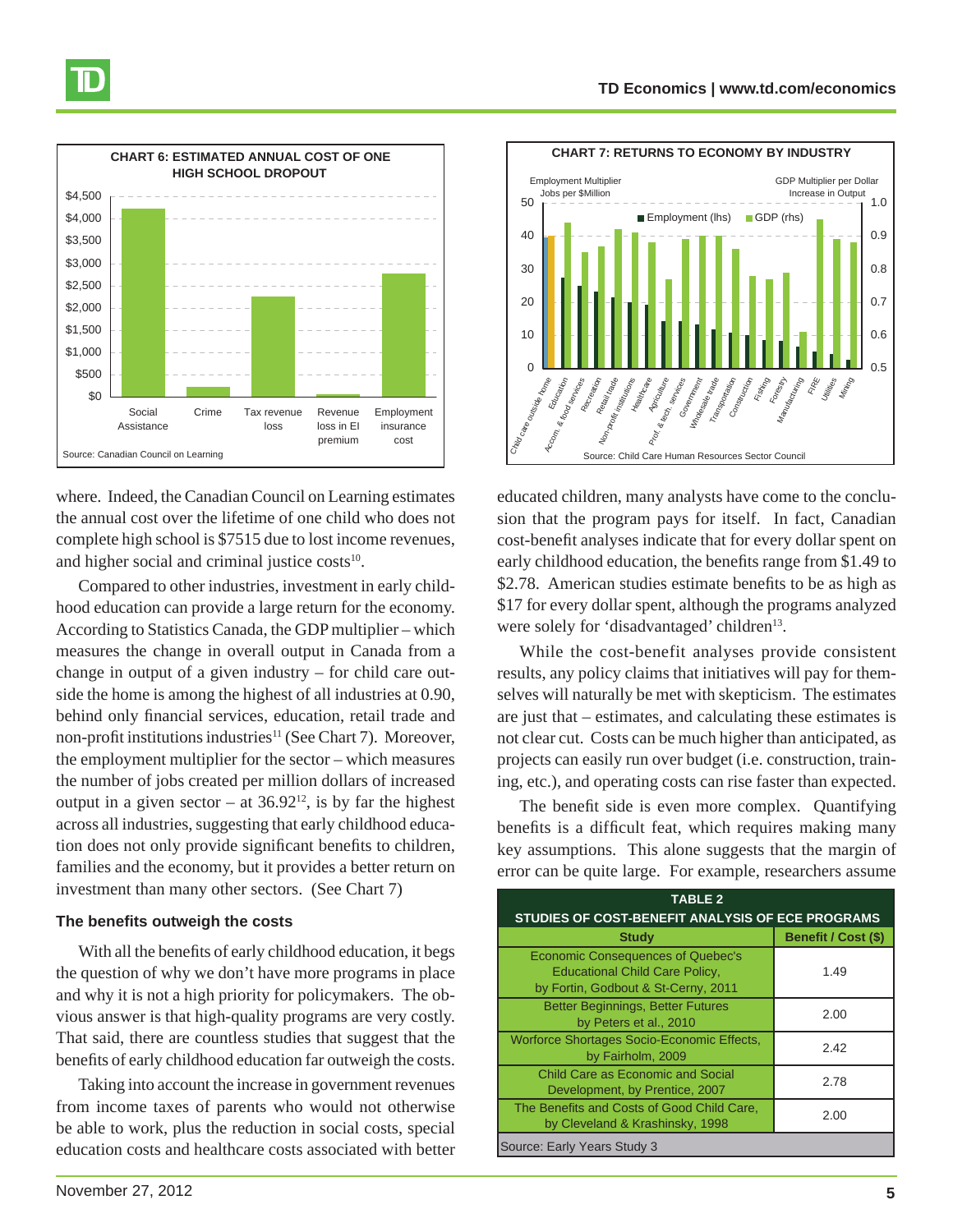

where. Indeed, the Canadian Council on Learning estimates the annual cost over the lifetime of one child who does not complete high school is \$7515 due to lost income revenues, and higher social and criminal justice  $costs<sup>10</sup>$ .

Compared to other industries, investment in early childhood education can provide a large return for the economy. According to Statistics Canada, the GDP multiplier – which measures the change in overall output in Canada from a change in output of a given industry – for child care outside the home is among the highest of all industries at 0.90, behind only financial services, education, retail trade and non-profit institutions industries<sup>11</sup> (See Chart 7). Moreover, the employment multiplier for the sector – which measures the number of jobs created per million dollars of increased output in a given sector – at  $36.92^{12}$ , is by far the highest across all industries, suggesting that early childhood education does not only provide significant benefits to children, families and the economy, but it provides a better return on investment than many other sectors. (See Chart 7)

#### **The benefits outweigh the costs**

With all the benefits of early childhood education, it begs the question of why we don't have more programs in place and why it is not a high priority for policymakers. The obvious answer is that high-quality programs are very costly. That said, there are countless studies that suggest that the benefits of early childhood education far outweigh the costs.

Taking into account the increase in government revenues from income taxes of parents who would not otherwise be able to work, plus the reduction in social costs, special education costs and healthcare costs associated with better



educated children, many analysts have come to the conclusion that the program pays for itself. In fact, Canadian cost-benefit analyses indicate that for every dollar spent on early childhood education, the benefits range from \$1.49 to \$2.78. American studies estimate benefits to be as high as \$17 for every dollar spent, although the programs analyzed were solely for 'disadvantaged' children<sup>13</sup>.

While the cost-benefit analyses provide consistent results, any policy claims that initiatives will pay for themselves will naturally be met with skepticism. The estimates are just that – estimates, and calculating these estimates is not clear cut. Costs can be much higher than anticipated, as projects can easily run over budget (i.e. construction, training, etc.), and operating costs can rise faster than expected.

The benefit side is even more complex. Quantifying benefits is a difficult feat, which requires making many key assumptions. This alone suggests that the margin of error can be quite large. For example, researchers assume

| <b>TABLE 2</b>                                                                                                           |                     |  |  |
|--------------------------------------------------------------------------------------------------------------------------|---------------------|--|--|
| STUDIES OF COST-BENEFIT ANALYSIS OF ECE PROGRAMS                                                                         |                     |  |  |
| <b>Study</b>                                                                                                             | Benefit / Cost (\$) |  |  |
| <b>Economic Consequences of Quebec's</b><br><b>Educational Child Care Policy,</b><br>by Fortin, Godbout & St-Cerny, 2011 | 1.49                |  |  |
| <b>Better Beginnings, Better Futures</b><br>by Peters et al., 2010                                                       | 2.00                |  |  |
| Worforce Shortages Socio-Economic Effects,<br>by Fairholm, 2009                                                          | 2.42                |  |  |
| <b>Child Care as Economic and Social</b><br>Development, by Prentice, 2007                                               | 2.78                |  |  |
| The Benefits and Costs of Good Child Care,<br>by Cleveland & Krashinsky, 1998                                            | 2.00                |  |  |
| Source: Early Years Study 3                                                                                              |                     |  |  |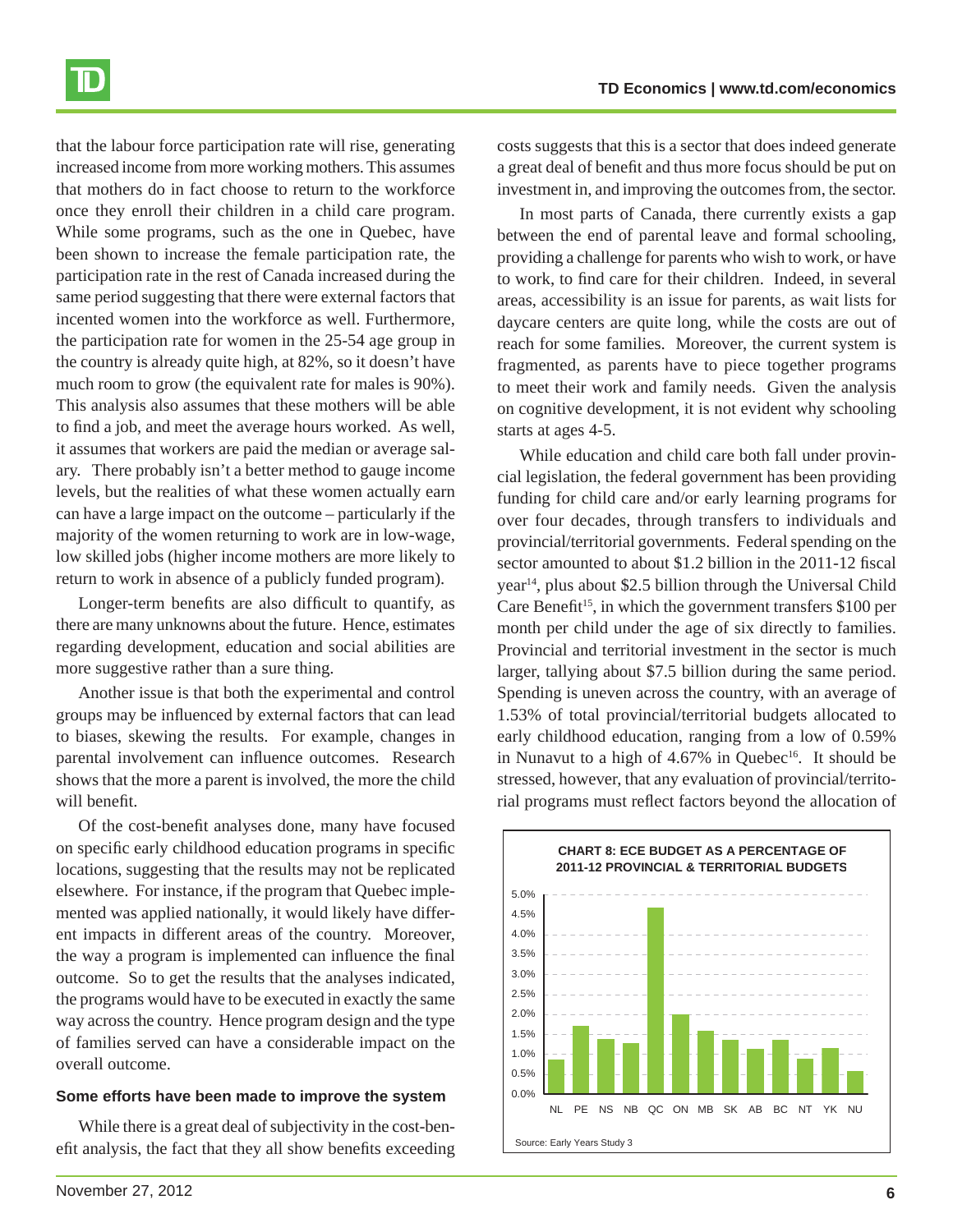

that the labour force participation rate will rise, generating increased income from more working mothers. This assumes that mothers do in fact choose to return to the workforce once they enroll their children in a child care program. While some programs, such as the one in Quebec, have been shown to increase the female participation rate, the participation rate in the rest of Canada increased during the same period suggesting that there were external factors that incented women into the workforce as well. Furthermore, the participation rate for women in the 25-54 age group in the country is already quite high, at 82%, so it doesn't have much room to grow (the equivalent rate for males is 90%). This analysis also assumes that these mothers will be able to find a job, and meet the average hours worked. As well, it assumes that workers are paid the median or average salary. There probably isn't a better method to gauge income levels, but the realities of what these women actually earn can have a large impact on the outcome – particularly if the majority of the women returning to work are in low-wage, low skilled jobs (higher income mothers are more likely to return to work in absence of a publicly funded program).

Longer-term benefits are also difficult to quantify, as there are many unknowns about the future. Hence, estimates regarding development, education and social abilities are more suggestive rather than a sure thing.

Another issue is that both the experimental and control groups may be influenced by external factors that can lead to biases, skewing the results. For example, changes in parental involvement can influence outcomes. Research shows that the more a parent is involved, the more the child will benefit.

Of the cost-benefit analyses done, many have focused on specific early childhood education programs in specific locations, suggesting that the results may not be replicated elsewhere. For instance, if the program that Quebec implemented was applied nationally, it would likely have different impacts in different areas of the country. Moreover, the way a program is implemented can influence the final outcome. So to get the results that the analyses indicated, the programs would have to be executed in exactly the same way across the country. Hence program design and the type of families served can have a considerable impact on the overall outcome.

#### **Some efforts have been made to improve the system**

While there is a great deal of subjectivity in the cost-benefit analysis, the fact that they all show benefits exceeding costs suggests that this is a sector that does indeed generate a great deal of benefit and thus more focus should be put on investment in, and improving the outcomes from, the sector.

In most parts of Canada, there currently exists a gap between the end of parental leave and formal schooling, providing a challenge for parents who wish to work, or have to work, to find care for their children. Indeed, in several areas, accessibility is an issue for parents, as wait lists for daycare centers are quite long, while the costs are out of reach for some families. Moreover, the current system is fragmented, as parents have to piece together programs to meet their work and family needs. Given the analysis on cognitive development, it is not evident why schooling starts at ages 4-5.

While education and child care both fall under provincial legislation, the federal government has been providing funding for child care and/or early learning programs for over four decades, through transfers to individuals and provincial/territorial governments. Federal spending on the sector amounted to about \$1.2 billion in the 2011-12 fiscal year14, plus about \$2.5 billion through the Universal Child Care Benefit<sup>15</sup>, in which the government transfers  $$100$  per month per child under the age of six directly to families. Provincial and territorial investment in the sector is much larger, tallying about \$7.5 billion during the same period. Spending is uneven across the country, with an average of 1.53% of total provincial/territorial budgets allocated to early childhood education, ranging from a low of 0.59% in Nunavut to a high of  $4.67\%$  in Quebec<sup>16</sup>. It should be stressed, however, that any evaluation of provincial/territorial programs must reflect factors beyond the allocation of

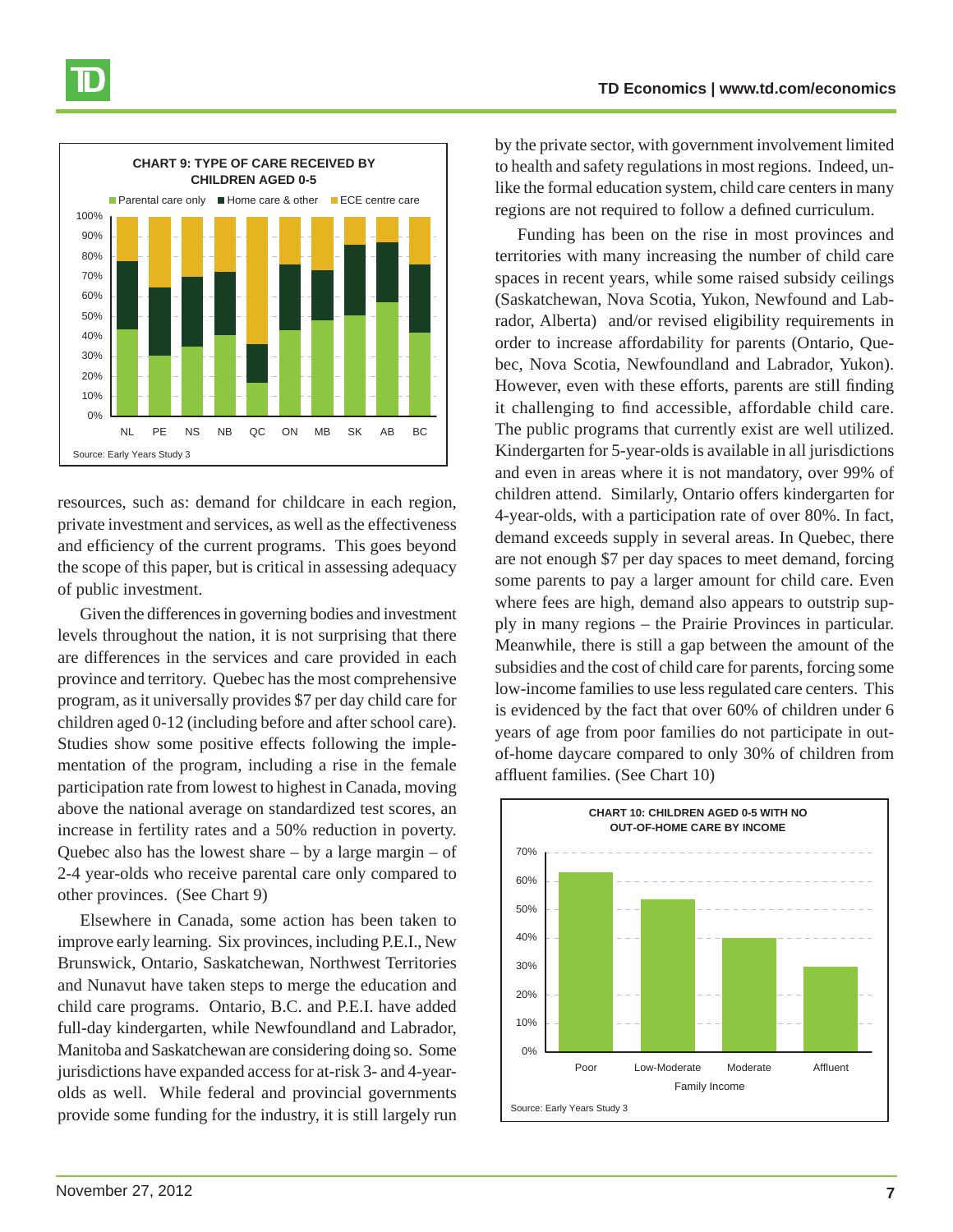#### **TD Economics | www.td.com/economics**



resources, such as: demand for childcare in each region, private investment and services, as well as the effectiveness and efficiency of the current programs. This goes beyond the scope of this paper, but is critical in assessing adequacy of public investment.

Given the differences in governing bodies and investment levels throughout the nation, it is not surprising that there are differences in the services and care provided in each province and territory. Quebec has the most comprehensive program, as it universally provides \$7 per day child care for children aged 0-12 (including before and after school care). Studies show some positive effects following the implementation of the program, including a rise in the female participation rate from lowest to highest in Canada, moving above the national average on standardized test scores, an increase in fertility rates and a 50% reduction in poverty. Quebec also has the lowest share  $-$  by a large margin  $-$  of 2-4 year-olds who receive parental care only compared to other provinces. (See Chart 9)

Elsewhere in Canada, some action has been taken to improve early learning. Six provinces, including P.E.I., New Brunswick, Ontario, Saskatchewan, Northwest Territories and Nunavut have taken steps to merge the education and child care programs. Ontario, B.C. and P.E.I. have added full-day kindergarten, while Newfoundland and Labrador, Manitoba and Saskatchewan are considering doing so. Some jurisdictions have expanded access for at-risk 3- and 4-yearolds as well. While federal and provincial governments provide some funding for the industry, it is still largely run by the private sector, with government involvement limited to health and safety regulations in most regions. Indeed, unlike the formal education system, child care centers in many regions are not required to follow a defined curriculum.

Funding has been on the rise in most provinces and territories with many increasing the number of child care spaces in recent years, while some raised subsidy ceilings (Saskatchewan, Nova Scotia, Yukon, Newfound and Labrador, Alberta) and/or revised eligibility requirements in order to increase affordability for parents (Ontario, Quebec, Nova Scotia, Newfoundland and Labrador, Yukon). However, even with these efforts, parents are still finding it challenging to find accessible, affordable child care. The public programs that currently exist are well utilized. Kindergarten for 5-year-olds is available in all jurisdictions and even in areas where it is not mandatory, over 99% of children attend. Similarly, Ontario offers kindergarten for 4-year-olds, with a participation rate of over 80%. In fact, demand exceeds supply in several areas. In Quebec, there are not enough \$7 per day spaces to meet demand, forcing some parents to pay a larger amount for child care. Even where fees are high, demand also appears to outstrip supply in many regions – the Prairie Provinces in particular. Meanwhile, there is still a gap between the amount of the subsidies and the cost of child care for parents, forcing some low-income families to use less regulated care centers. This is evidenced by the fact that over 60% of children under 6 years of age from poor families do not participate in outof-home daycare compared to only 30% of children from affluent families. (See Chart 10)

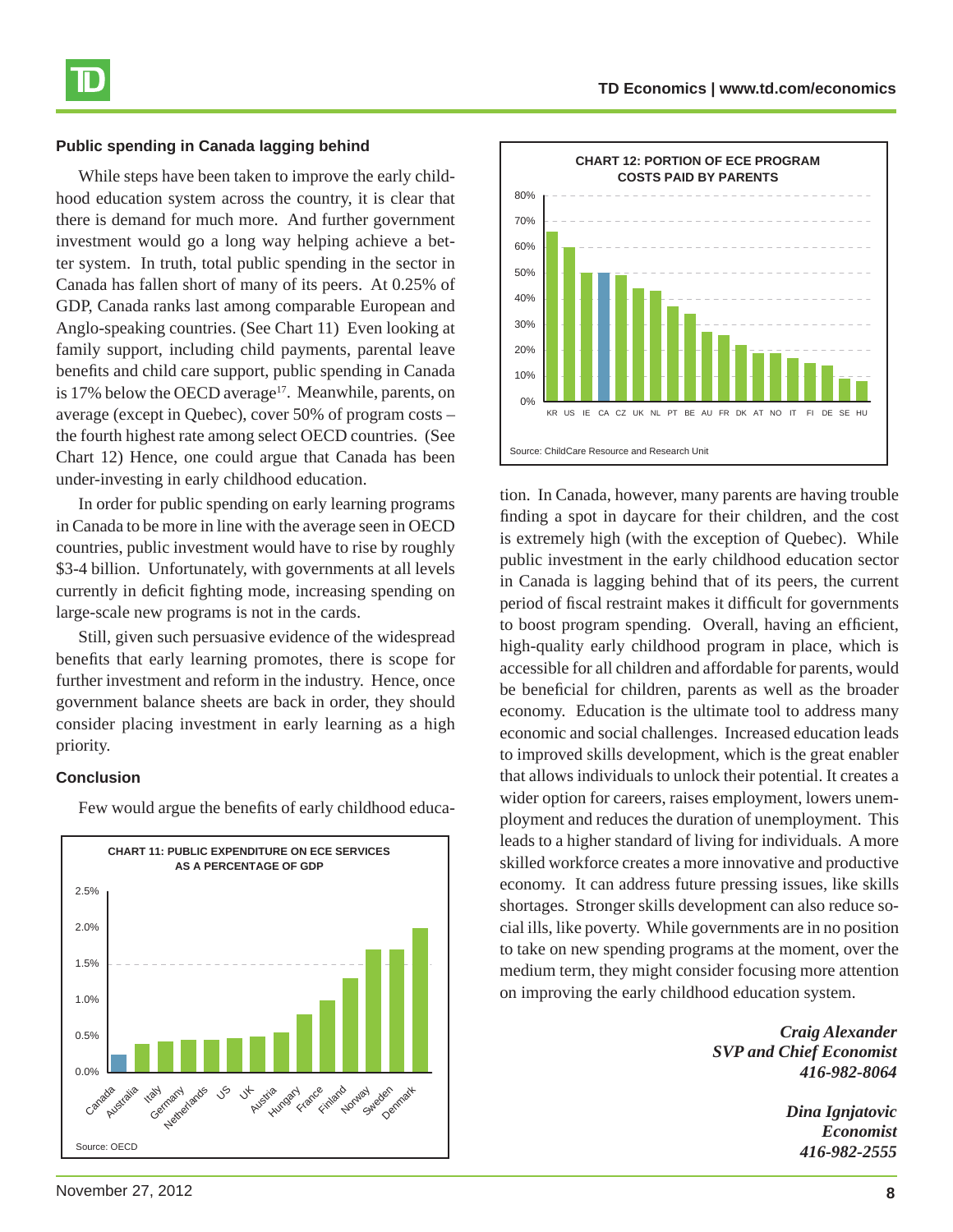#### **Public spending in Canada lagging behind**

While steps have been taken to improve the early childhood education system across the country, it is clear that there is demand for much more. And further government investment would go a long way helping achieve a better system. In truth, total public spending in the sector in Canada has fallen short of many of its peers. At 0.25% of GDP, Canada ranks last among comparable European and Anglo-speaking countries. (See Chart 11) Even looking at family support, including child payments, parental leave benefits and child care support, public spending in Canada is 17% below the OECD average<sup>17</sup>. Meanwhile, parents, on average (except in Quebec), cover 50% of program costs – the fourth highest rate among select OECD countries. (See Chart 12) Hence, one could argue that Canada has been under-investing in early childhood education.

In order for public spending on early learning programs in Canada to be more in line with the average seen in OECD countries, public investment would have to rise by roughly \$3-4 billion. Unfortunately, with governments at all levels currently in deficit fighting mode, increasing spending on large-scale new programs is not in the cards.

Still, given such persuasive evidence of the widespread benefits that early learning promotes, there is scope for further investment and reform in the industry. Hence, once government balance sheets are back in order, they should consider placing investment in early learning as a high priority.

#### **Conclusion**

Few would argue the benefits of early childhood educa-





tion. In Canada, however, many parents are having trouble finding a spot in daycare for their children, and the cost is extremely high (with the exception of Quebec). While public investment in the early childhood education sector in Canada is lagging behind that of its peers, the current period of fiscal restraint makes it difficult for governments to boost program spending. Overall, having an efficient, high-quality early childhood program in place, which is accessible for all children and affordable for parents, would be beneficial for children, parents as well as the broader economy. Education is the ultimate tool to address many economic and social challenges. Increased education leads to improved skills development, which is the great enabler that allows individuals to unlock their potential. It creates a wider option for careers, raises employment, lowers unemployment and reduces the duration of unemployment. This leads to a higher standard of living for individuals. A more skilled workforce creates a more innovative and productive economy. It can address future pressing issues, like skills shortages. Stronger skills development can also reduce social ills, like poverty. While governments are in no position to take on new spending programs at the moment, over the medium term, they might consider focusing more attention on improving the early childhood education system.

> *Craig Alexander SVP and Chief Economist 416-982-8064*

> > *Dina Ignjatovic Economist 416-982-2555*